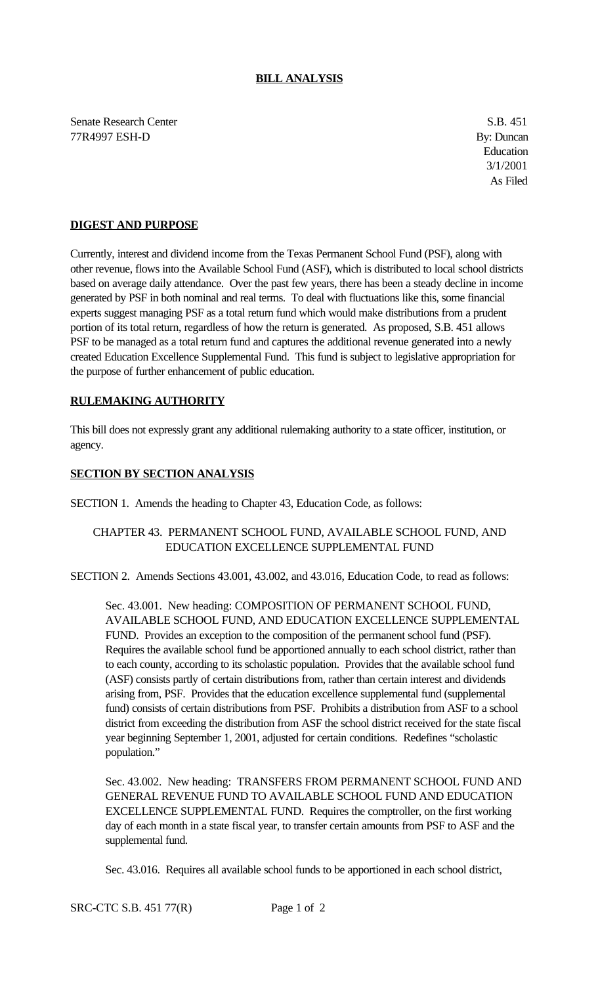### **BILL ANALYSIS**

Senate Research Center S.B. 451 77R4997 ESH-D By: Duncan

Education 3/1/2001 As Filed

# **DIGEST AND PURPOSE**

Currently, interest and dividend income from the Texas Permanent School Fund (PSF), along with other revenue, flows into the Available School Fund (ASF), which is distributed to local school districts based on average daily attendance. Over the past few years, there has been a steady decline in income generated by PSF in both nominal and real terms. To deal with fluctuations like this, some financial experts suggest managing PSF as a total return fund which would make distributions from a prudent portion of its total return, regardless of how the return is generated. As proposed, S.B. 451 allows PSF to be managed as a total return fund and captures the additional revenue generated into a newly created Education Excellence Supplemental Fund. This fund is subject to legislative appropriation for the purpose of further enhancement of public education.

## **RULEMAKING AUTHORITY**

This bill does not expressly grant any additional rulemaking authority to a state officer, institution, or agency.

## **SECTION BY SECTION ANALYSIS**

SECTION 1. Amends the heading to Chapter 43, Education Code, as follows:

## CHAPTER 43. PERMANENT SCHOOL FUND, AVAILABLE SCHOOL FUND, AND EDUCATION EXCELLENCE SUPPLEMENTAL FUND

SECTION 2. Amends Sections 43.001, 43.002, and 43.016, Education Code, to read as follows:

Sec. 43.001. New heading: COMPOSITION OF PERMANENT SCHOOL FUND, AVAILABLE SCHOOL FUND, AND EDUCATION EXCELLENCE SUPPLEMENTAL FUND. Provides an exception to the composition of the permanent school fund (PSF). Requires the available school fund be apportioned annually to each school district, rather than to each county, according to its scholastic population. Provides that the available school fund (ASF) consists partly of certain distributions from, rather than certain interest and dividends arising from, PSF. Provides that the education excellence supplemental fund (supplemental fund) consists of certain distributions from PSF. Prohibits a distribution from ASF to a school district from exceeding the distribution from ASF the school district received for the state fiscal year beginning September 1, 2001, adjusted for certain conditions. Redefines "scholastic population."

Sec. 43.002. New heading: TRANSFERS FROM PERMANENT SCHOOL FUND AND GENERAL REVENUE FUND TO AVAILABLE SCHOOL FUND AND EDUCATION EXCELLENCE SUPPLEMENTAL FUND. Requires the comptroller, on the first working day of each month in a state fiscal year, to transfer certain amounts from PSF to ASF and the supplemental fund.

Sec. 43.016. Requires all available school funds to be apportioned in each school district,

SRC-CTC S.B. 451 77(R) Page 1 of 2